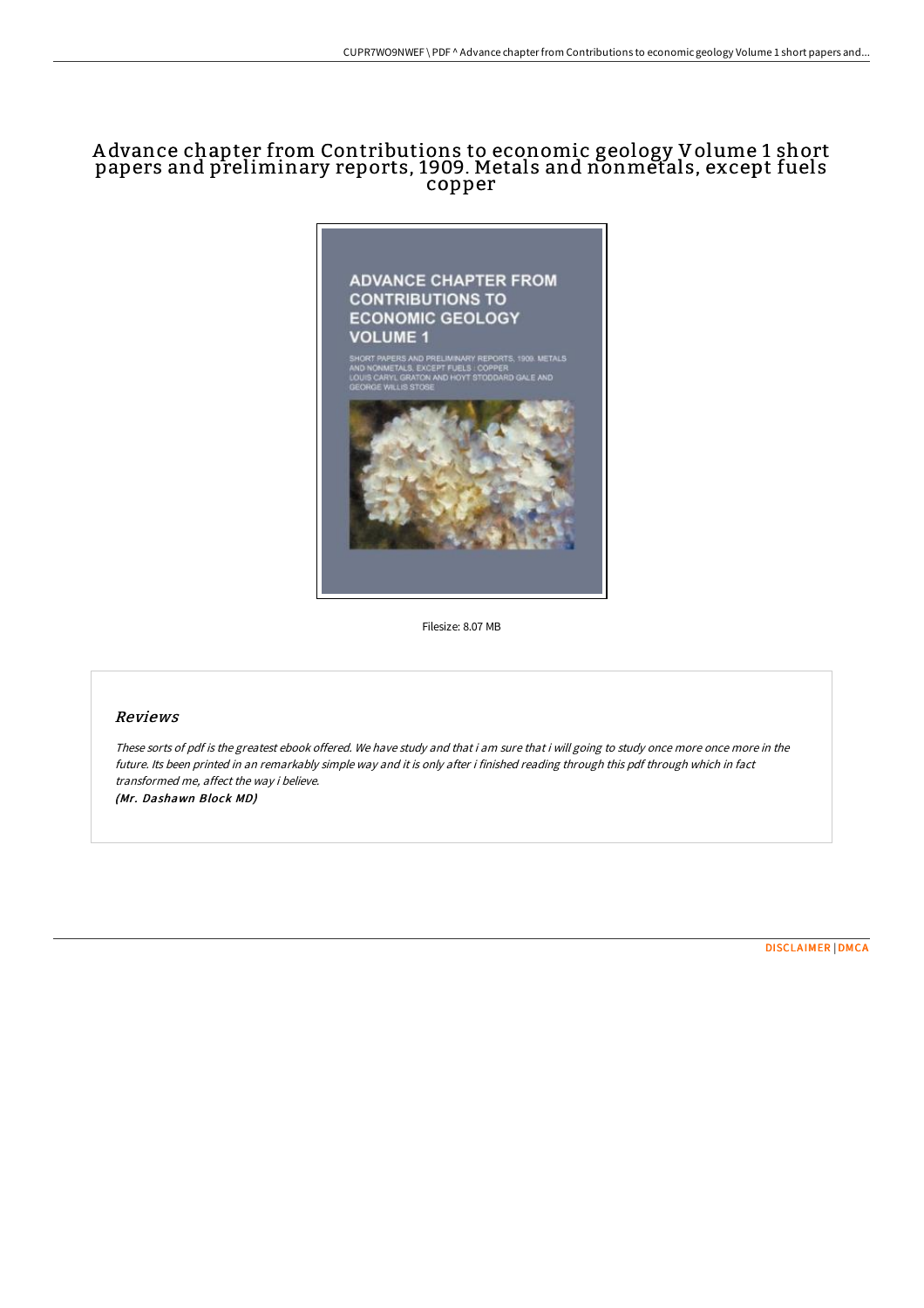# A dvance chapter from Contributions to economic geology Volume 1 short papers and preliminary reports, 1909. Metals and nonmetals, except fuels copper



Filesize: 8.07 MB

#### Reviews

These sorts of pdf is the greatest ebook offered. We have study and that i am sure that i will going to study once more once more in the future. Its been printed in an remarkably simple way and it is only after i finished reading through this pdf through which in fact transformed me, affect the way i believe. (Mr. Dashawn Block MD)

[DISCLAIMER](http://techno-pub.tech/disclaimer.html) | [DMCA](http://techno-pub.tech/dmca.html)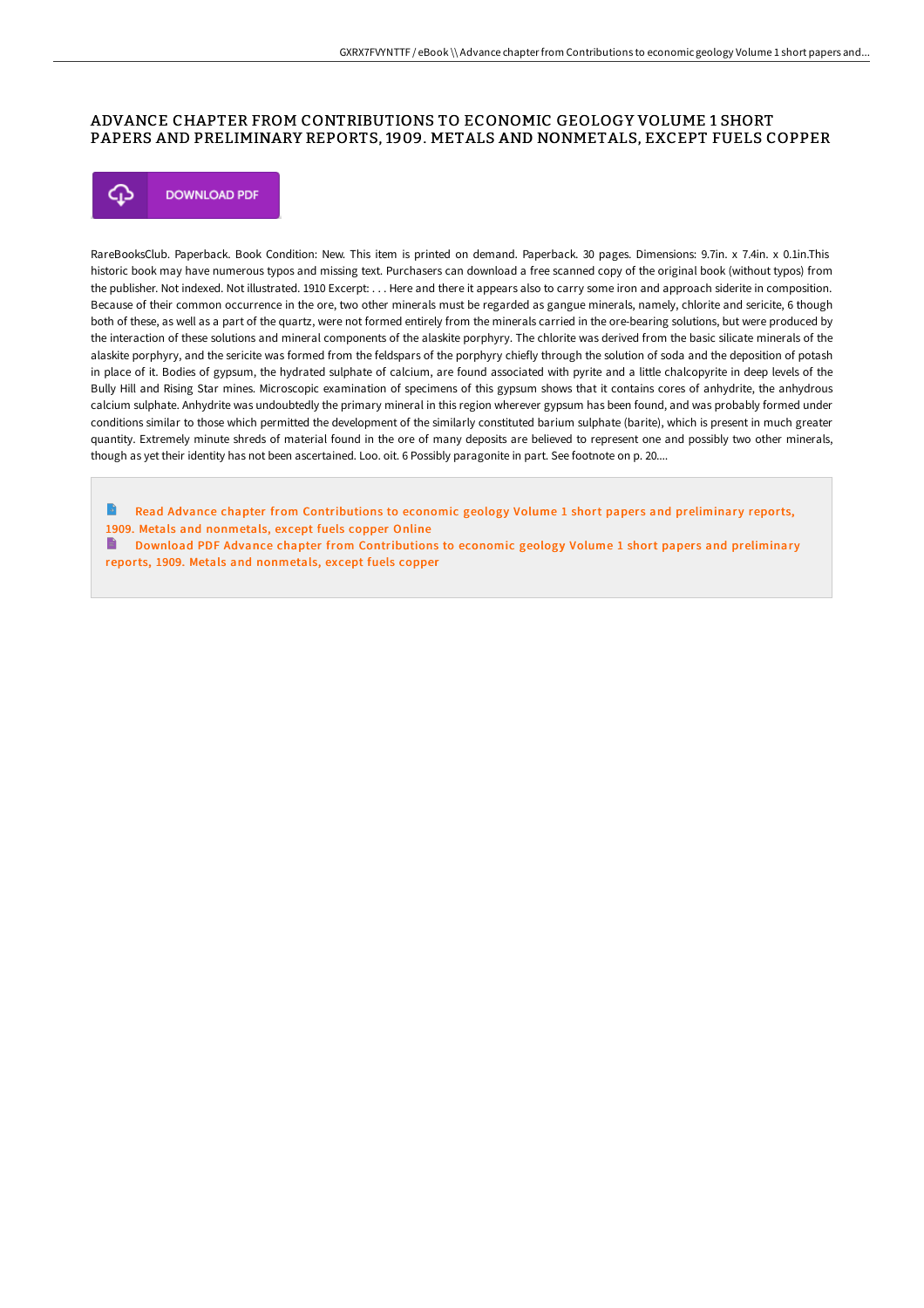### ADVANCE CHAPTER FROM CONTRIBUTIONS TO ECONOMIC GEOLOGY VOLUME 1 SHORT PAPERS AND PRELIMINARY REPORTS, 1909. METALS AND NONMETALS, EXCEPT FUELS COPPER



RareBooksClub. Paperback. Book Condition: New. This item is printed on demand. Paperback. 30 pages. Dimensions: 9.7in. x 7.4in. x 0.1in.This historic book may have numerous typos and missing text. Purchasers can download a free scanned copy of the original book (without typos) from the publisher. Not indexed. Not illustrated. 1910 Excerpt: . . . Here and there it appears also to carry some iron and approach siderite in composition. Because of their common occurrence in the ore, two other minerals must be regarded as gangue minerals, namely, chlorite and sericite, 6 though both of these, as well as a part of the quartz, were not formed entirely from the minerals carried in the ore-bearing solutions, but were produced by the interaction of these solutions and mineral components of the alaskite porphyry. The chlorite was derived from the basic silicate minerals of the alaskite porphyry, and the sericite was formed from the feldspars of the porphyry chiefly through the solution of soda and the deposition of potash in place of it. Bodies of gypsum, the hydrated sulphate of calcium, are found associated with pyrite and a little chalcopyrite in deep levels of the Bully Hill and Rising Star mines. Microscopic examination of specimens of this gypsum shows that it contains cores of anhydrite, the anhydrous calcium sulphate. Anhydrite was undoubtedly the primary mineral in this region wherever gypsum has been found, and was probably formed under conditions similar to those which permitted the development of the similarly constituted barium sulphate (barite), which is present in much greater quantity. Extremely minute shreds of material found in the ore of many deposits are believed to represent one and possibly two other minerals, though as yet their identity has not been ascertained. Loo. oit. 6 Possibly paragonite in part. See footnote on p. 20....

B Read Advance chapter from [Contributions](http://techno-pub.tech/advance-chapter-from-contributions-to-economic-g.html) to economic geology Volume 1 short papers and preliminary reports, 1909. Metals and nonmetals, except fuels copper Online

B. Download PDF Advance chapter from [Contributions](http://techno-pub.tech/advance-chapter-from-contributions-to-economic-g.html) to economic geology Volume 1 short papers and preliminary reports, 1909. Metals and nonmetals, except fuels copper